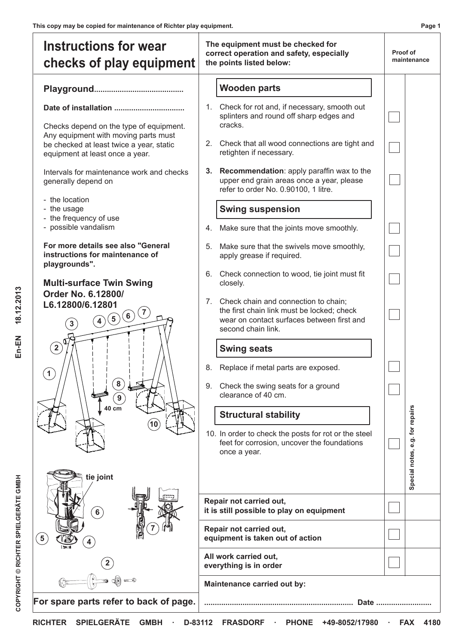| <b>Wooden parts</b><br>1. Check for rot and, if necessary, smooth out<br>splinters and round off sharp edges and<br>cracks.<br>Checks depend on the type of equipment.<br>Any equipment with moving parts must<br>2. Check that all wood connections are tight and<br>be checked at least twice a year, static<br>retighten if necessary.<br>equipment at least once a year.<br>Recommendation: apply paraffin wax to the<br>Intervals for maintenance work and checks<br>3.<br>upper end grain areas once a year, please<br>generally depend on<br>refer to order No. 0.90100, 1 litre.<br>- the location<br><b>Swing suspension</b><br>- the usage<br>- the frequency of use<br>- possible vandalism<br>Make sure that the joints move smoothly.<br>4.<br>For more details see also "General<br>Make sure that the swivels move smoothly,<br>5.<br>instructions for maintenance of<br>apply grease if required.<br>playgrounds".<br>Check connection to wood, tie joint must fit<br>6.<br><b>Multi-surface Twin Swing</b><br>closely.<br>Order No. 6.12800/<br>Check chain and connection to chain;<br>7.<br>L6.12800/6.12801<br>the first chain link must be locked; check<br>$\frac{1}{2}$<br>(4)(5)(6)<br>wear on contact surfaces between first and<br>3<br>second chain link.<br>$\mathbf{2}^{\setminus}$<br><b>Swing seats</b><br>Replace if metal parts are exposed.<br>8.<br>Check the swing seats for a ground<br>9.<br>clearance of 40 cm.<br>40 cm<br><b>Structural stability</b><br>10. In order to check the posts for rot or the steel<br>feet for corrosion, uncover the foundations<br>once a year.<br>tie joint<br>Repair not carried out,<br>it is still possible to play on equipment<br>6 <sup>2</sup><br>Repair not carried out,<br>equipment is taken out of action | <b>Instructions for wear</b><br>checks of play equipment | The equipment must be checked for<br>correct operation and safety, especially<br>the points listed below: |  | Proof of<br>maintenance         |  |
|---------------------------------------------------------------------------------------------------------------------------------------------------------------------------------------------------------------------------------------------------------------------------------------------------------------------------------------------------------------------------------------------------------------------------------------------------------------------------------------------------------------------------------------------------------------------------------------------------------------------------------------------------------------------------------------------------------------------------------------------------------------------------------------------------------------------------------------------------------------------------------------------------------------------------------------------------------------------------------------------------------------------------------------------------------------------------------------------------------------------------------------------------------------------------------------------------------------------------------------------------------------------------------------------------------------------------------------------------------------------------------------------------------------------------------------------------------------------------------------------------------------------------------------------------------------------------------------------------------------------------------------------------------------------------------------------------------------------------------------------------------------------------------------------|----------------------------------------------------------|-----------------------------------------------------------------------------------------------------------|--|---------------------------------|--|
|                                                                                                                                                                                                                                                                                                                                                                                                                                                                                                                                                                                                                                                                                                                                                                                                                                                                                                                                                                                                                                                                                                                                                                                                                                                                                                                                                                                                                                                                                                                                                                                                                                                                                                                                                                                             |                                                          |                                                                                                           |  | Special notes, e.g. for repairs |  |
|                                                                                                                                                                                                                                                                                                                                                                                                                                                                                                                                                                                                                                                                                                                                                                                                                                                                                                                                                                                                                                                                                                                                                                                                                                                                                                                                                                                                                                                                                                                                                                                                                                                                                                                                                                                             |                                                          |                                                                                                           |  |                                 |  |
| everything is in order<br>Maintenance carried out by:<br>For spare parts refer to back of page.                                                                                                                                                                                                                                                                                                                                                                                                                                                                                                                                                                                                                                                                                                                                                                                                                                                                                                                                                                                                                                                                                                                                                                                                                                                                                                                                                                                                                                                                                                                                                                                                                                                                                             |                                                          | All work carried out,                                                                                     |  |                                 |  |